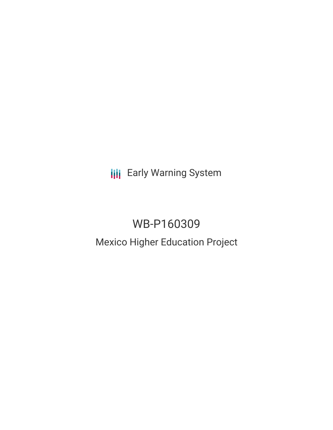**III** Early Warning System

# WB-P160309 Mexico Higher Education Project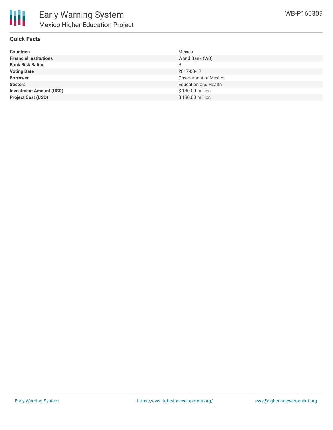### **Quick Facts**

| <b>Countries</b>               | Mexico                      |
|--------------------------------|-----------------------------|
| <b>Financial Institutions</b>  | World Bank (WB)             |
| <b>Bank Risk Rating</b>        | B                           |
| <b>Voting Date</b>             | 2017-03-17                  |
| <b>Borrower</b>                | <b>Government of Mexico</b> |
| <b>Sectors</b>                 | <b>Education and Health</b> |
| <b>Investment Amount (USD)</b> | \$130.00 million            |
| <b>Project Cost (USD)</b>      | \$130.00 million            |
|                                |                             |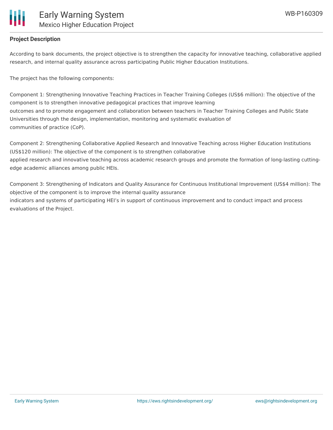

### **Project Description**

According to bank documents, the project objective is to strengthen the capacity for innovative teaching, collaborative applied research, and internal quality assurance across participating Public Higher Education Institutions.

The project has the following components:

Component 1: Strengthening Innovative Teaching Practices in Teacher Training Colleges (US\$6 million): The objective of the component is to strengthen innovative pedagogical practices that improve learning outcomes and to promote engagement and collaboration between teachers in Teacher Training Colleges and Public State Universities through the design, implementation, monitoring and systematic evaluation of communities of practice (CoP).

Component 2: Strengthening Collaborative Applied Research and Innovative Teaching across Higher Education Institutions (US\$120 million): The objective of the component is to strengthen collaborative applied research and innovative teaching across academic research groups and promote the formation of long-lasting cuttingedge academic alliances among public HEIs.

Component 3: Strengthening of Indicators and Quality Assurance for Continuous Institutional Improvement (US\$4 million): The objective of the component is to improve the internal quality assurance indicators and systems of participating HEI's in support of continuous improvement and to conduct impact and process evaluations of the Project.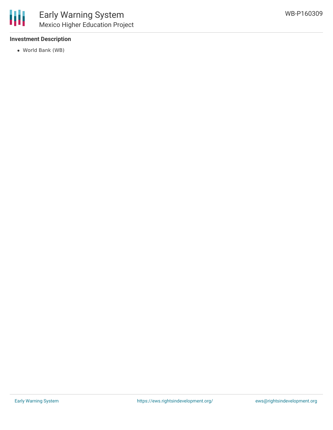

### **Investment Description**

World Bank (WB)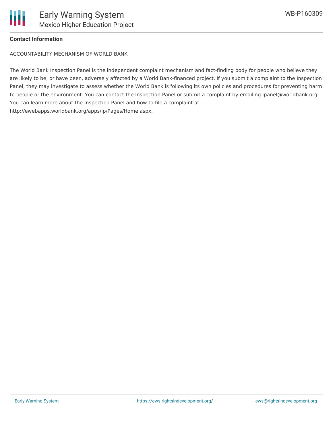

#### **Contact Information**

ACCOUNTABILITY MECHANISM OF WORLD BANK

The World Bank Inspection Panel is the independent complaint mechanism and fact-finding body for people who believe they are likely to be, or have been, adversely affected by a World Bank-financed project. If you submit a complaint to the Inspection Panel, they may investigate to assess whether the World Bank is following its own policies and procedures for preventing harm to people or the environment. You can contact the Inspection Panel or submit a complaint by emailing ipanel@worldbank.org. You can learn more about the Inspection Panel and how to file a complaint at: http://ewebapps.worldbank.org/apps/ip/Pages/Home.aspx.